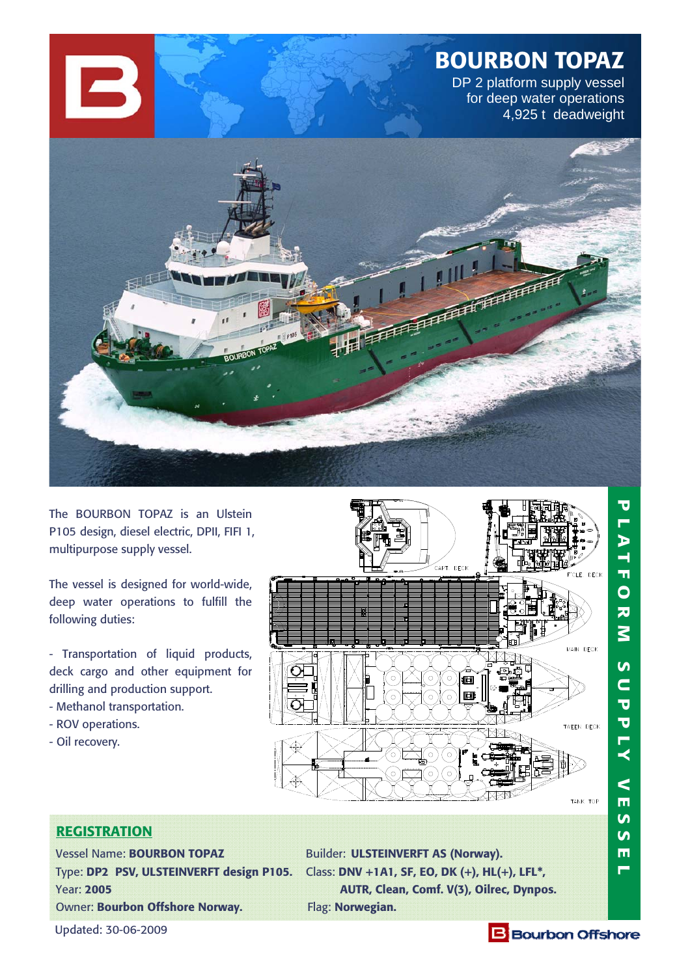# **BOURBON TOPAZ**

DP 2 platform supply vessel for deep water operations 4,925 t deadweight



The BOURBON TOPAZ is an Ulstein P105 design, diesel electric, DPII, FIFI 1, multipurpose supply vessel.

The vessel is designed for world-wide, deep water operations to fulfill the following duties:

- Transportation of liquid products, deck cargo and other equipment for drilling and production support. - Methanol transportation.

- ROV operations.
- Oil recovery.



# **REGISTRATION**

Vessel Name: **BOURBON TOPAZ** Builder: **ULSTEINVERFT AS (Norway).**  Owner: **Bourbon Offshore Norway.** Flag: **Norwegian.** 

Type: **DP2 PSV, ULSTEINVERFT design P105.** Class: **DNV +1A1, SF, EO, DK (+), HL(+), LFL\*,**  Year: **2005 AUTR, Clean, Comf. V(3), Oilrec, Dynpos.**

Updated: 30-06-2009

# **B** Bourbon Offshore

<u>ທ</u>  $\mathbf{v}$  $\blacksquare$  $\blacksquare$